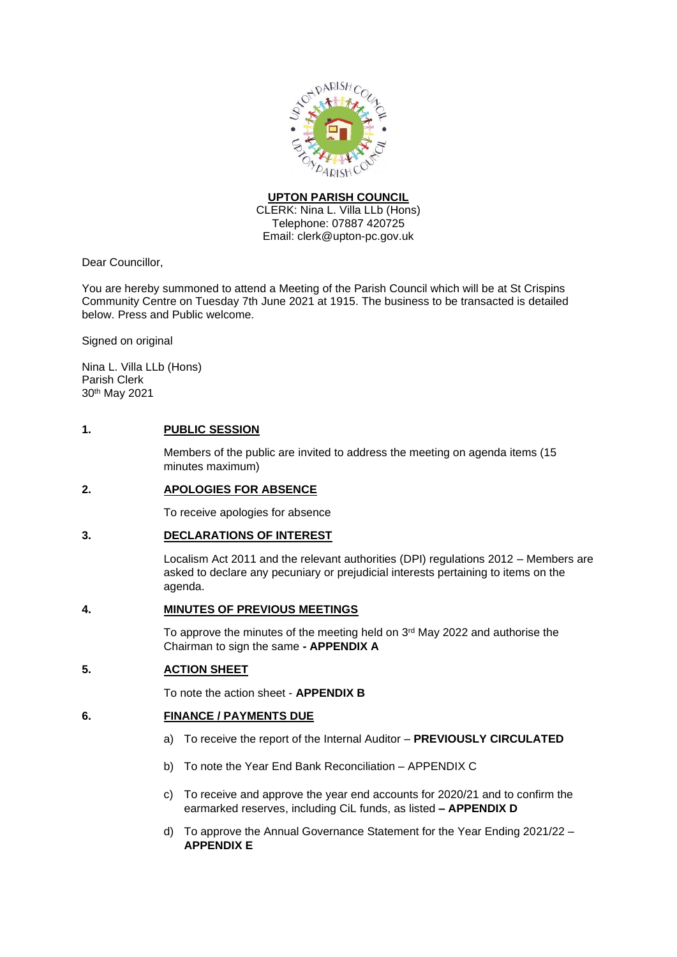

## **UPTON PARISH COUNCIL**

CLERK: Nina L. Villa LLb (Hons) Telephone: 07887 420725 Email: clerk@upton-pc.gov.uk

Dear Councillor,

You are hereby summoned to attend a Meeting of the Parish Council which will be at St Crispins Community Centre on Tuesday 7th June 2021 at 1915. The business to be transacted is detailed below. Press and Public welcome.

Signed on original

Nina L. Villa LLb (Hons) Parish Clerk 30th May 2021

## **1. PUBLIC SESSION**

Members of the public are invited to address the meeting on agenda items (15 minutes maximum)

## **2. APOLOGIES FOR ABSENCE**

To receive apologies for absence

## **3. DECLARATIONS OF INTEREST**

Localism Act 2011 and the relevant authorities (DPI) regulations 2012 – Members are asked to declare any pecuniary or prejudicial interests pertaining to items on the agenda.

## **4. MINUTES OF PREVIOUS MEETINGS**

To approve the minutes of the meeting held on 3<sup>rd</sup> May 2022 and authorise the Chairman to sign the same **- APPENDIX A** 

## **5. ACTION SHEET**

To note the action sheet - **APPENDIX B**

## **6. FINANCE / PAYMENTS DUE**

- a) To receive the report of the Internal Auditor **PREVIOUSLY CIRCULATED**
- b) To note the Year End Bank Reconciliation APPENDIX C
- c) To receive and approve the year end accounts for 2020/21 and to confirm the earmarked reserves, including CiL funds, as listed **– APPENDIX D**
- d) To approve the Annual Governance Statement for the Year Ending 2021/22 **APPENDIX E**